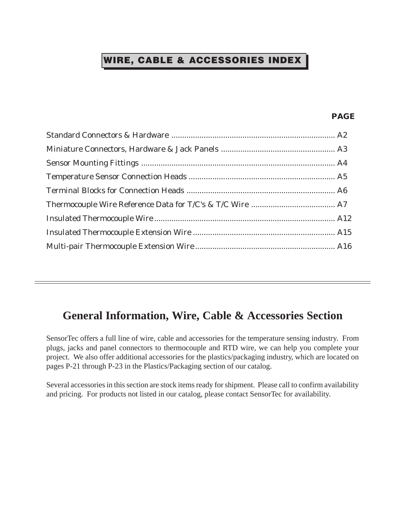## WIRE, CABLE & ACCESSORIES INDEX

### **PAGE**

## **General Information, Wire, Cable & Accessories Section**

SensorTec offers a full line of wire, cable and accessories for the temperature sensing industry. From plugs, jacks and panel connectors to thermocouple and RTD wire, we can help you complete your project. We also offer additional accessories for the plastics/packaging industry, which are located on pages P-21 through P-23 in the Plastics/Packaging section of our catalog.

Several accessories in this section are stock items ready for shipment. Please call to confirm availability and pricing. For products not listed in our catalog, please contact SensorTec for availability.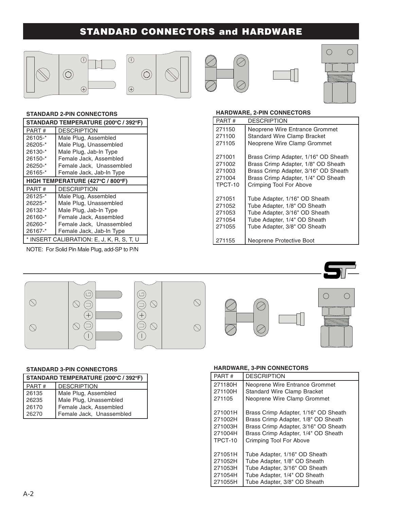## STANDARD CONNECTORS and HARDWARE







#### STANDARD 2-PIN CONNECTORS

| STANDARD TEMPERATURE (200°C / 392°F) |                          |  |
|--------------------------------------|--------------------------|--|
| PART #                               | DESCRIPTION              |  |
| 26105-*                              | Male Plug, Assembled     |  |
| 26205-*                              | Male Plug, Unassembled   |  |
| 26130-*                              | Male Plug, Jab-In Type   |  |
| 26150-*                              | Female Jack, Assembled   |  |
| 26250-*                              | Female Jack, Unassembled |  |
| 26165-*                              | Female Jack, Jab-In Type |  |
| HIGH TEMPERATURE (427°C / 800°F)     |                          |  |
|                                      |                          |  |
| PART#                                | <b>DESCRIPTION</b>       |  |
| 26125-*                              | Male Plug, Assembled     |  |
| 26225-*                              | Male Plug, Unassembled   |  |
| 26132-*                              | Male Plug, Jab-In Type   |  |
| 26160-*                              | Female Jack, Assembled   |  |
| 26260-*                              | Female Jack, Unassembled |  |
| 26167-*                              | Female Jack, Jab-In Type |  |

NOTE: For Solid Pin Male Plug, add-SP to P/N

#### HARDWARE, 2-PIN CONNECTORS

| PART #                                          | DESCRIPTION                                                                                                                                                                           |
|-------------------------------------------------|---------------------------------------------------------------------------------------------------------------------------------------------------------------------------------------|
| 271150<br>271100                                | Neoprene Wire Entrance Grommet<br><b>Standard Wire Clamp Bracket</b>                                                                                                                  |
| 271105                                          | Neoprene Wire Clamp Grommet                                                                                                                                                           |
| 271001<br>271002<br>271003<br>271004<br>TPCT-10 | Brass Crimp Adapter, 1/16" OD Sheath<br>Brass Crimp Adapter, 1/8" OD Sheath<br>Brass Crimp Adapter, 3/16" OD Sheath<br>Brass Crimp Adapter, 1/4" OD Sheath<br>Crimping Tool For Above |
| 271051<br>271052<br>271053<br>271054<br>271055  | Tube Adapter, 1/16" OD Sheath<br>Tube Adapter, 1/8" OD Sheath<br>Tube Adapter, 3/16" OD Sheath<br>Tube Adapter, 1/4" OD Sheath<br>Tube Adapter, 3/8" OD Sheath                        |
| 271155                                          | Neoprene Protective Boot                                                                                                                                                              |



#### STANDARD 3-PIN CONNECTORS

| STANDARD TEMPERATURE (200°C / 392°F) |                                                    |  |
|--------------------------------------|----------------------------------------------------|--|
| PART#                                | <b>DESCRIPTION</b>                                 |  |
| 26135                                | Male Plug, Assembled                               |  |
| 26235                                | Male Plug, Unassembled                             |  |
| 26170                                | Female Jack, Assembled<br>Female Jack, Unassembled |  |
| 26270                                |                                                    |  |

#### HARDWARE, 3-PIN CONNECTORS

| PART#   | <b>DESCRIPTION</b>                   |  |  |  |
|---------|--------------------------------------|--|--|--|
| 271180H | Neoprene Wire Entrance Grommet       |  |  |  |
| 271100H | <b>Standard Wire Clamp Bracket</b>   |  |  |  |
| 271105  | Neoprene Wire Clamp Grommet          |  |  |  |
|         |                                      |  |  |  |
| 271001H | Brass Crimp Adapter, 1/16" OD Sheath |  |  |  |
| 271002H | Brass Crimp Adapter, 1/8" OD Sheath  |  |  |  |
| 271003H | Brass Crimp Adapter, 3/16" OD Sheath |  |  |  |
| 271004H | Brass Crimp Adapter, 1/4" OD Sheath  |  |  |  |
| TPCT-10 | Crimping Tool For Above              |  |  |  |
|         |                                      |  |  |  |
| 271051H | Tube Adapter, 1/16" OD Sheath        |  |  |  |
| 271052H | Tube Adapter, 1/8" OD Sheath         |  |  |  |
| 271053H | Tube Adapter, 3/16" OD Sheath        |  |  |  |
| 271054H | Tube Adapter, 1/4" OD Sheath         |  |  |  |
| 271055H | Tube Adapter, 3/8" OD Sheath         |  |  |  |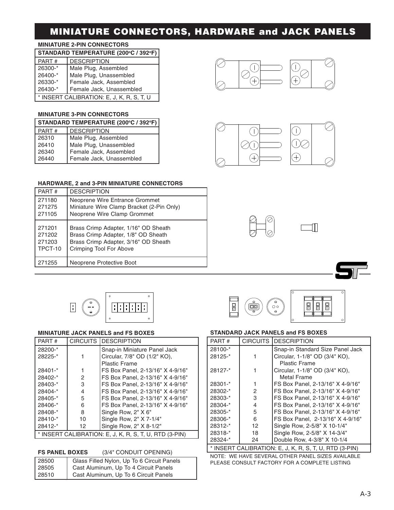## MINIATURE CONNECTORS, HARDWARE and JACK PANELS

#### MINIATURE 2-PIN CONNECTORS

| STANDARD TEMPERATURE (200°C / 392°F)      |                        |  |
|-------------------------------------------|------------------------|--|
| PART#                                     | <b>DESCRIPTION</b>     |  |
| 26300-*                                   | Male Plug, Assembled   |  |
| 26400-*                                   | Male Plug, Unassembled |  |
| 26330-*                                   | Female Jack, Assembled |  |
| Female Jack, Unassembled<br>26430-*       |                        |  |
| * INSERT CALIBRATION: E, J, K, R, S, T, U |                        |  |

#### MINIATURE 3-PIN CONNECTORS

| STANDARD TEMPERATURE (200°C / 392°F) |                                                    |  |
|--------------------------------------|----------------------------------------------------|--|
| PART#                                | <b>DESCRIPTION</b>                                 |  |
| 26310                                | Male Plug, Assembled                               |  |
| 26410                                | Male Plug, Unassembled                             |  |
| 26340                                |                                                    |  |
| 26440                                | Female Jack, Assembled<br>Female Jack, Unassembled |  |





#### HARDWARE, 2 and 3-PIN MINIATURE CONNECTORS

| PART#   | <b>DESCRIPTION</b>                        |
|---------|-------------------------------------------|
| 271180  | Neoprene Wire Entrance Grommet            |
| 271275  | Miniature Wire Clamp Bracket (2-Pin Only) |
| 271105  | Neoprene Wire Clamp Grommet               |
| 271201  | Brass Crimp Adapter, 1/16" OD Sheath      |
| 271202  | Brass Crimp Adapter, 1/8" OD Sheath       |
| 271203  | Brass Crimp Adapter, 3/16" OD Sheath      |
| TPCT-10 | Crimping Tool For Above                   |
| 271255  | Neoprene Protective Boot                  |



 $\Box$ 

#### MINIATURE JACK PANELS and FS BOXES STANDARD JACK PANELS and FS BOXES

| PART#                                                                      |    | <b>CIRCUITS DESCRIPTION</b>      |  |  |
|----------------------------------------------------------------------------|----|----------------------------------|--|--|
| 28100-*                                                                    |    | Snap-in Standard Size Panel Jack |  |  |
| 28125-*                                                                    |    | Circular, 1-1/8" OD (3/4" KO),   |  |  |
|                                                                            |    | <b>Plastic Frame</b>             |  |  |
| 28127-*                                                                    |    | Circular, 1-1/8" OD (3/4" KO),   |  |  |
|                                                                            |    | Metal Frame                      |  |  |
| 28301-*                                                                    |    | FS Box Panel, 2-13/16" X 4-9/16" |  |  |
| 28302-*                                                                    | 2  | FS Box Panel, 2-13/16" X 4-9/16" |  |  |
| 28303-*                                                                    | 3  | FS Box Panel, 2-13/16" X 4-9/16" |  |  |
| 28304-*                                                                    | 4  | FS Box Panel, 2-13/16" X 4-9/16" |  |  |
| 28305-*                                                                    | 5  | FS Box Panel, 2-13/16" X 4-9/16" |  |  |
| 28306-*                                                                    | 6  | FS Box Panel, 2-13/16" X 4-9/16" |  |  |
| 28312-*                                                                    | 12 | Single Row, 2-5/8" X 10-1/4"     |  |  |
| 28318-*                                                                    | 18 | Single Row, 2-5/8" X 14-3/4"     |  |  |
| 28324-*                                                                    | 24 | Double Row, 4-3/8" X 10-1/4      |  |  |
| $\Lambda$ I IRDATION $\cdot$ E I K D C T II DTD $(2$ -DINI)<br>* INICEDT C |    |                                  |  |  |

 $\overline{I}$ INSERT CALIBRATION: E, J, K, R, S, T, U, RTD (3-PIN)

NOTE: WE HAVE SEVERAL OTHER PANEL SIZES AVAILABLE PLEASE CONSULT FACTORY FOR A COMPLETE LISTING

PART # CIRCUITS DESCRIPTION

 $\boxed{\cdot}$ 

28408<sup>-\*</sup> 8 | Single Row, 2" X 6"<br>28410-<sup>\*</sup> 10 | Single Row, 2" X 7-28410-\* 10 Single Row, 2" X 7-1/4" 28412-\* 12 Single Row, 2" X 8-1/2"

28200<sup>-\*</sup> Snap-in Miniature Panel Jack 28225-\* 1 Circular, 7/8" OD (1/2" KO),

Plastic Frame 28401-\* 1 FS Box Panel, 2-13/16" X 4-9/16" 28402-\* 2 FS Box Panel, 2-13/16" X 4-9/16" 28403-\* 3 FS Box Panel, 2-13/16" X 4-9/16"<br>28404-\* 4 FS Box Panel, 2-13/16" X 4-9/16" 28404-\* | 4 | FS Box Panel, 2-13/16" X 4-9/16"<br>28405-\* | 5 | FS Box Panel, 2-13/16" X 4-9/16" 28405-\* 5 FS Box Panel, 2-13/16" X 4-9/16" 28406-\* 6 FS Box Panel, 2-13/16" X 4-9/16"<br>28408-\* 8 Single Row. 2" X 6"

निरोमन

FS PANEL BOXES (3/4" CONDUIT OPENING)

| 28500   | Glass Filled Nylon, Up To 6 Circuit Panels |
|---------|--------------------------------------------|
| l 28505 | Cast Aluminum, Up To 4 Circuit Panels      |
| l 28510 | Cast Aluminum, Up To 6 Circuit Panels      |

\* INSERT CALIBRATION: E, J, K, R, S, T, U, RTD (3-PIN)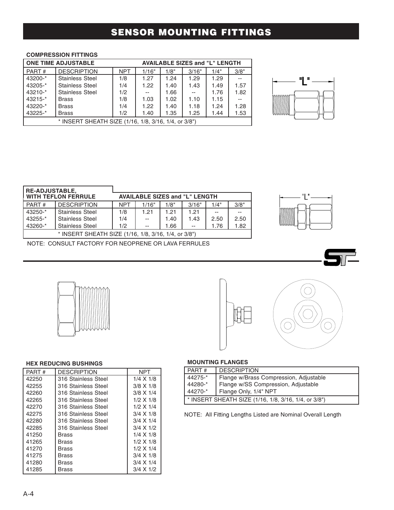## SENSOR MOUNTING FITTINGS

### COMPRESSION FITTINGS

| <b>ONE TIME ADJUSTABLE</b><br><b>AVAILABLE SIZES and "L" LENGTH</b>    |                        |            |       |      |       |      |      |
|------------------------------------------------------------------------|------------------------|------------|-------|------|-------|------|------|
| PART#                                                                  | <b>DESCRIPTION</b>     | <b>NPT</b> | 1/16" | 1/8" | 3/16" | 1/4" | 3/8" |
| 43200-*                                                                | <b>Stainless Steel</b> | 1/8        | 1.27  | 1.24 | 1.29  | 1.29 |      |
| 43205-*                                                                | <b>Stainless Steel</b> | 1/4        | 1.22  | 1.40 | 1.43  | 1.49 | 1.57 |
| $43210 -$ *                                                            | <b>Stainless Steel</b> | 1/2        |       | 1.66 | $- -$ | 1.76 | 1.82 |
| $43215 -$ *                                                            | <b>Brass</b>           | 1/8        | 1.03  | 1.02 | 1.10  | 1.15 |      |
| 43220-*                                                                | <b>Brass</b>           | 1/4        | 1.22  | 1.40 | 1.18  | 1.24 | 1.28 |
| 43225-*<br>1.53<br>1/2<br>1.25<br>1.40<br>1.35<br><b>Brass</b><br>1.44 |                        |            |       |      |       |      |      |
| * INSERT SHEATH SIZE (1/16, 1/8, 3/16, 1/4, or 3/8")                   |                        |            |       |      |       |      |      |

|           | H<br>Ш |  |
|-----------|--------|--|
| .<br>mmmm |        |  |

| <b>RE-ADJUSTABLE,</b>                                |                        |                                       |       |      |       |      |      |  |
|------------------------------------------------------|------------------------|---------------------------------------|-------|------|-------|------|------|--|
| <b>WITH TEFLON FERRULE</b>                           |                        | <b>AVAILABLE SIZES and "L" LENGTH</b> |       |      |       |      |      |  |
| PART#                                                | <b>DESCRIPTION</b>     | <b>NPT</b>                            | 1/16" | 1/8" | 3/16" | 1/4" | 3/8" |  |
| 43250-*                                              | <b>Stainless Steel</b> | 1/8                                   | 1.21  | 1.21 | 1.21  |      |      |  |
| 43255-*                                              | <b>Stainless Steel</b> | 1/4                                   |       | 1.40 | 1.43  | 2.50 | 2.50 |  |
| 43260-*                                              | <b>Stainless Steel</b> | 1/2                                   | $-$   | 1.66 | $-$   | 1.76 | 1.82 |  |
| * INSERT SHEATH SIZE (1/16, 1/8, 3/16, 1/4, or 3/8") |                        |                                       |       |      |       |      |      |  |



NOTE: CONSULT FACTORY FOR NEOPRENE OR LAVA FERRULES





#### HEX REDUCING BUSHINGS

| PART# | <b>DESCRIPTION</b>  | NPT              |
|-------|---------------------|------------------|
| 42250 | 316 Stainless Steel | $1/4 \times 1/8$ |
| 42255 | 316 Stainless Steel | $3/8 \times 1/8$ |
| 42260 | 316 Stainless Steel | $3/8 \times 1/4$ |
| 42265 | 316 Stainless Steel | $1/2$ X $1/8$    |
| 42270 | 316 Stainless Steel | 1/2 X 1/4        |
| 42275 | 316 Stainless Steel | $3/4 \times 1/8$ |
| 42280 | 316 Stainless Steel | $3/4 \times 1/4$ |
| 42285 | 316 Stainless Steel | $3/4 \times 1/2$ |
| 41250 | Brass               | 1/4 X 1/8        |
| 41265 | Brass               | $1/2$ X $1/8$    |
| 41270 | Brass               | $1/2 \times 1/4$ |
| 41275 | Brass               | $3/4 \times 1/8$ |
| 41280 | Brass               | $3/4 \times 1/4$ |
| 41285 | Brass               | $3/4 \times 1/2$ |

#### MOUNTING FLANGES

| PART#                                                | <b>DESCRIPTION</b>                     |  |  |  |  |
|------------------------------------------------------|----------------------------------------|--|--|--|--|
| 44275-*                                              | Flange w/Brass Compression, Adjustable |  |  |  |  |
| 44280-*                                              | Flange w/SS Compression, Adjustable    |  |  |  |  |
| 44270-*                                              | Flange Only, 1/4" NPT                  |  |  |  |  |
| * INSERT SHEATH SIZE (1/16, 1/8, 3/16, 1/4, or 3/8") |                                        |  |  |  |  |

### NOTE: All Fitting Lengths Listed are Nominal Overall Length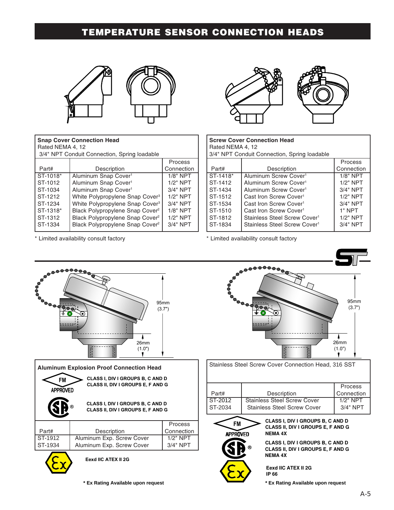## TEMPERATURE SENSOR CONNECTION HEADS



| <b>Snap Cover Connection Head</b><br>Rated NEMA 4, 12<br>3/4" NPT Conduit Connection, Spring loadable |                                             |            |  |  |  |  |
|-------------------------------------------------------------------------------------------------------|---------------------------------------------|------------|--|--|--|--|
|                                                                                                       |                                             | Process    |  |  |  |  |
| Part#                                                                                                 | Description                                 | Connection |  |  |  |  |
| ST-1018*                                                                                              | Aluminum Snap Cover <sup>1</sup>            | $1/8"$ NPT |  |  |  |  |
| ST-1012                                                                                               | Aluminum Snap Cover <sup>1</sup>            | $1/2"$ NPT |  |  |  |  |
| ST-1034                                                                                               | Aluminum Snap Cover <sup>1</sup>            | $3/4"$ NPT |  |  |  |  |
| ST-1212                                                                                               | White Polypropylene Snap Cover <sup>3</sup> | $1/2"$ NPT |  |  |  |  |
| ST-1234                                                                                               | White Polypropylene Snap Cover <sup>3</sup> | $3/4"$ NPT |  |  |  |  |
| ST-1318*                                                                                              | Black Polypropylene Snap Cover <sup>2</sup> | $1/8"$ NPT |  |  |  |  |
| ST-1312                                                                                               | Black Polypropylene Snap Cover <sup>2</sup> | $1/2"$ NPT |  |  |  |  |
| ST-1334                                                                                               | Black Polypropylene Snap Cover <sup>2</sup> | $3/4"$ NPT |  |  |  |  |

\* Limited availability consult factory



| <b>Screw Cover Connection Head</b><br>Rated NEMA 4, 12<br>3/4" NPT Conduit Connection, Spring loadable |                                          |             |  |  |  |  |
|--------------------------------------------------------------------------------------------------------|------------------------------------------|-------------|--|--|--|--|
| Process                                                                                                |                                          |             |  |  |  |  |
| Part#                                                                                                  | Description                              | Connection  |  |  |  |  |
| ST-1418*                                                                                               | Aluminum Screw Cover <sup>1</sup>        | $1/8"$ NPT  |  |  |  |  |
| ST-1412                                                                                                | Aluminum Screw Cover <sup>1</sup>        | $1/2"$ NPT  |  |  |  |  |
| ST-1434                                                                                                | Aluminum Screw Cover <sup>1</sup>        | $3/4"$ NPT  |  |  |  |  |
| ST-1512                                                                                                | Cast Iron Screw Cover <sup>1</sup>       | $1/2"$ NPT  |  |  |  |  |
| ST-1534                                                                                                | Cast Iron Screw Cover <sup>1</sup>       | $3/4"$ NPT  |  |  |  |  |
| ST-1510                                                                                                | Cast Iron Screw Cover <sup>1</sup>       | 1" NPT      |  |  |  |  |
| ST-1812                                                                                                | Stainless Steel Screw Cover <sup>1</sup> | $1/2$ " NPT |  |  |  |  |
| ST-1834                                                                                                | Stainless Steel Screw Cover <sup>1</sup> | 3/4" NPT    |  |  |  |  |

\* Limited availability consult factory

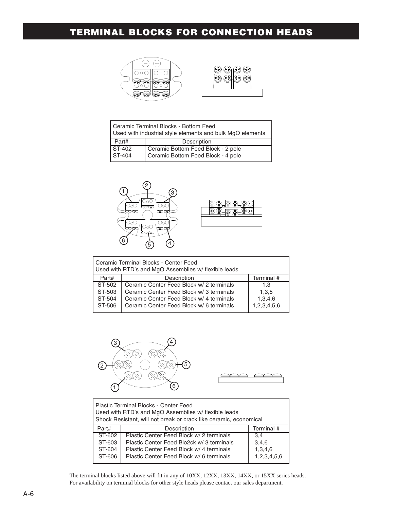## TERMINAL BLOCKS FOR CONNECTION HEADS



| Ceramic Terminal Blocks - Bottom Feed<br>Used with industrial style elements and bulk MgO elements |                                    |  |  |  |  |
|----------------------------------------------------------------------------------------------------|------------------------------------|--|--|--|--|
| Part#                                                                                              | Description                        |  |  |  |  |
| <b>ST-402</b>                                                                                      | Ceramic Bottom Feed Block - 2 pole |  |  |  |  |
| ST-404                                                                                             | Ceramic Bottom Feed Block - 4 pole |  |  |  |  |



| Ceramic Terminal Blocks - Center Feed<br>Used with RTD's and MgO Assemblies w/ flexible leads |                                          |             |  |  |  |  |
|-----------------------------------------------------------------------------------------------|------------------------------------------|-------------|--|--|--|--|
| Part#                                                                                         | Description                              | Terminal #  |  |  |  |  |
| ST-502                                                                                        | Ceramic Center Feed Block w/ 2 terminals | 1.3         |  |  |  |  |
| ST-503                                                                                        | Ceramic Center Feed Block w/ 3 terminals | 1,3,5       |  |  |  |  |
| ST-504                                                                                        | Ceramic Center Feed Block w/ 4 terminals | 1,3,4,6     |  |  |  |  |
| ST-506                                                                                        | Ceramic Center Feed Block w/ 6 terminals | 1,2,3,4,5,6 |  |  |  |  |





| Plastic Terminal Blocks - Center Feed<br>Used with RTD's and MgO Assemblies w/ flexible leads<br>Shock Resistant, will not break or crack like ceramic, economical |                                           |             |  |  |  |  |  |
|--------------------------------------------------------------------------------------------------------------------------------------------------------------------|-------------------------------------------|-------------|--|--|--|--|--|
| Part#                                                                                                                                                              | Terminal #<br>Description                 |             |  |  |  |  |  |
| ST-602                                                                                                                                                             | Plastic Center Feed Block w/ 2 terminals  | 3.4         |  |  |  |  |  |
| ST-603                                                                                                                                                             | Plastic Center Feed Blo2ck w/ 3 terminals | 3,4,6       |  |  |  |  |  |
| ST-604                                                                                                                                                             | Plastic Center Feed Block w/ 4 terminals  | 1,3,4,6     |  |  |  |  |  |
| ST-606                                                                                                                                                             | Plastic Center Feed Block w/ 6 terminals  | 1,2,3,4,5,6 |  |  |  |  |  |

The terminal blocks listed above will fit in any of 10XX, 12XX, 13XX, 14XX, or 15XX series heads. For availability on terminal blocks for other style heads please contact our sales department.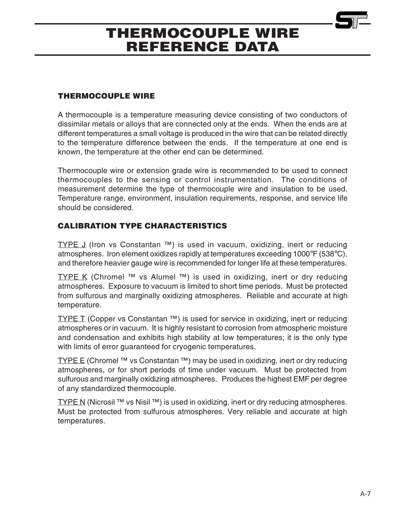### THERMOCOUPLE WIRE

A thermocouple is a temperature measuring device consisting of two conductors of dissimilar metals or alloys that are connected only at the ends. When the ends are at different temperatures a small voltage is produced in the wire that can be related directly to the temperature difference between the ends. If the temperature at one end is known, the temperature at the other end can be determined.

Thermocouple wire or extension grade wire is recommended to be used to connect thermocouples to the sensing or control instrumentation. The conditions of measurement determine the type of thermocouple wire and insulation to be used. Temperature range, environment, insulation requirements, response, and service life should be considered.

## CALIBRATION TYPE CHARACTERISTICS

TYPE  $J$  (Iron vs Constantan  $TM$ ) is used in vacuum, oxidizing, inert or reducing atmospheres. Iron element oxidizes rapidly at temperatures exceeding 1000°F (538°C), and therefore heavier gauge wire is recommended for longer life at these temperatures.

TYPE K (Chromel <sup>TM</sup> vs Alumel <sup>TM</sup>) is used in oxidizing, inert or dry reducing atmospheres. Exposure to vacuum is limited to short time periods. Must be protected from sulfurous and marginally oxidizing atmospheres. Reliable and accurate at high temperature.

**TYPE T** (Copper vs Constantan  $TM$ ) is used for service in oxidizing, inert or reducing atmospheres or in vacuum. It is highly resistant to corrosion from atmospheric moisture and condensation and exhibits high stability at low temperatures; it is the only type with limits of error guaranteed for cryogenic temperatures.

TYPE E (Chromel <sup>TM</sup> vs Constantan <sup>TM</sup>) may be used in oxidizing, inert or dry reducing atmospheres, or for short periods of time under vacuum. Must be protected from sulfurous and marginally oxidizing atmospheres. Produces the highest EMF per degree of any standardized thermocouple.

TYPE N (Nicrosil  $TM$  vs Nisil  $TM$ ) is used in oxidizing, inert or dry reducing atmospheres. Must be protected from sulfurous atmospheres. Very reliable and accurate at high temperatures.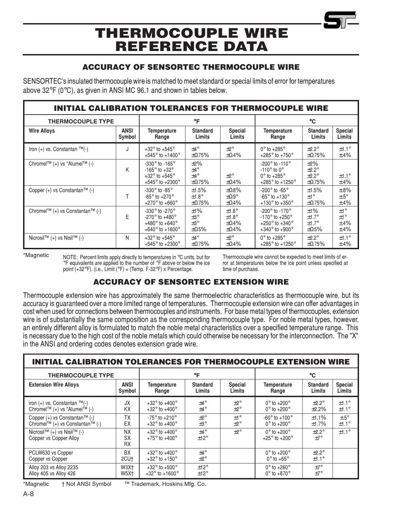### ACCURACY OF SENSORTEC THERMOCOUPLE WIRE

SENSORTEC's insulated thermocouple wire is matched to meet standard or special limits of error for temperatures above 32°F (0°C), as given in ANSI MC 96.1 and shown in tables below.

| <b>INITIAL CALIBRATION TOLERANCES FOR THERMOCOUPLE WIRE</b> |   |                                                                                                                                                     |                                                              |                                                      |                                                                                                                                                  |                                                                 |                                        |  |  |
|-------------------------------------------------------------|---|-----------------------------------------------------------------------------------------------------------------------------------------------------|--------------------------------------------------------------|------------------------------------------------------|--------------------------------------------------------------------------------------------------------------------------------------------------|-----------------------------------------------------------------|----------------------------------------|--|--|
| <b>THERMOCOUPLE TYPE</b>                                    |   |                                                                                                                                                     | °F                                                           |                                                      |                                                                                                                                                  | °C                                                              |                                        |  |  |
| <b>ANSI</b><br><b>Wire Alloys</b><br>Symbol                 |   | <b>Temperature</b><br>Range                                                                                                                         | <b>Standard</b><br>Limits                                    | <b>Special</b><br>Limits                             | <b>Temperature</b><br>Range                                                                                                                      | <b>Standard</b><br>Limits                                       | <b>Special</b><br>Limits               |  |  |
| Iron $(+)$ vs. Constantan $TM(-)$                           | J | $+32^{\circ}$ to $+545^{\circ}$<br>$+545^{\circ}$ to $+1400^{\circ}$                                                                                | $\pm 4^{\circ}$<br>$\pm 0.75\%$                              | $+2^{\circ}$<br>$\pm 0.4\%$                          | $0^\circ$ to +285 $^\circ$<br>+285 $^{\circ}$ to +750 $^{\circ}$                                                                                 | $\pm 2.2^\circ$<br>$\pm 0.75\%$                                 | $±1.1^\circ$<br>$\pm .4\%$             |  |  |
| Chromel™ (+) vs *Alumel™ (-)                                | K | $-330^\circ$ to $-165^\circ$<br>$-165^\circ$ to $+32^\circ$<br>$+32^{\circ}$ to $+545^{\circ}$<br>+545 $^{\circ}$ to +2300 $^{\circ}$               | $\pm 2\%$<br>$±4^{\circ}$<br>$\pm 4^{\circ}$<br>$\pm 0.75\%$ | $+2^{\circ}$<br>$\pm 0.4\%$                          | $-200^{\circ}$ to $-110^{\circ}$<br>$-110^{\circ}$ to 0 <sup>o</sup><br>$0^\circ$ to +285 $^\circ$<br>+285 $^{\circ}$ to +1250 $^{\circ}$        | $\pm 2\%$<br>$\pm 2.2^\circ$<br>$\pm 2.2^\circ$<br>$\pm 0.75\%$ | ±1.1°<br>$\pm .4\%$                    |  |  |
| Copper $(+)$ vs Constantan <sup>TM</sup> $(-)$              |   | $-330^\circ$ to $-85^\circ$<br>$-85^\circ$ to $+270^\circ$<br>+270 $^{\circ}$ to +660 $^{\circ}$                                                    | $\pm 1.5\%$<br>$±1.8^\circ$<br>$\pm 0.75\%$                  | $\pm 0.8\%$<br>$\pm 0.9^\circ$<br>$\pm 0.4\%$        | $-200^\circ$ to $-65^\circ$<br>$-65^\circ$ to $+130^\circ$<br>+130 $^{\circ}$ to +350 $^{\circ}$                                                 | ±1.5%<br>±1°<br>$\pm 0.75\%$                                    | $\pm.8\%$<br>$±.5^\circ$<br>$\pm.4\%$  |  |  |
| Chromel™ (+) vs Constantan™ (-)                             | E | -330 $^{\circ}$ to -270 $^{\circ}$<br>$-270^{\circ}$ to $+480^{\circ}$<br>+480 $^{\circ}$ to +640 $^{\circ}$<br>+640 $^{\circ}$ to +1600 $^{\circ}$ | ±1%<br>$\pm 3^{\circ}$<br>$\pm 3^{\circ}$<br>$\pm 0.5\%$     | $±1.8^\circ$<br>$±1.8^\circ$<br>±0.4%<br>$\pm 0.4\%$ | -200 $^{\circ}$ to -170 $^{\circ}$<br>$-170^{\circ}$ to $+250^{\circ}$<br>+250 $^{\circ}$ to +340 $^{\circ}$<br>$+340^{\circ}$ to $+900^{\circ}$ | ±1%<br>±1.7°<br>$±1.7^\circ$<br>$\pm 0.5\%$                     | ±1°<br>±1°<br>$\pm .4\%$<br>$\pm .4\%$ |  |  |
| Nicrosil™ $(+)$ vs Nisil™ $(-)$                             | N | $+32^{\circ}$ to $+545^{\circ}$<br>+545 $^{\circ}$ to +2300 $^{\circ}$                                                                              | $\pm 4^{\circ}$<br>$\pm 0.75\%$                              | $+2^{\circ}$<br>$\pm 0.4\%$                          | $0^\circ$ to +285 $^\circ$<br>+285 $^{\circ}$ to +1250 $^{\circ}$                                                                                | $\pm 2.2^\circ$<br>$\pm 0.75\%$                                 | ±1.1°<br>$\pm .4\%$                    |  |  |

\*Magnetic NOTE: Percent limits apply directly to temperatures in °C units, but for °F equivalents are applied to the number of °F above or below the ice point  $(+32^{\circ}F)$ . (i.e., Limit ( ${}^{\circ}F$ ) = (Temp. F-32 ${}^{\circ}F$ ) x Percentage.

Thermocouple wire cannot be expected to meet limits of error at temperatures below the ice point unless specified at time of purchase.

### ACCURACY OF SENSORTEC EXTENSION WIRE

Thermocouple extension wire has approximately the same thermoelectric characteristics as thermocouple wire, but its accuracy is guaranteed over a more limited range of temperatures. Thermocouple extension wire can offer advantages in cost when used for connections between thermocouples and instruments. For base metal types of thermocouples, extension wire is of substantially the same composition as the corresponding thermocouple type. For noble metal types, however, an entirely different alloy is formulated to match the noble metal characteristics over a specified temperature range. This is necessary due to the high cost of the noble metals which could otherwise be necessary for the interconnection. The "X" in the ANSI and ordering codes denotes extension grade wire.

| <b>INITIAL CALIBRATION TOLERANCES FOR THERMOCOUPLE EXTENSION WIRE</b>             |                                      |                                                                     |                                 |                              |                                                                 |                                    |                          |  |  |
|-----------------------------------------------------------------------------------|--------------------------------------|---------------------------------------------------------------------|---------------------------------|------------------------------|-----------------------------------------------------------------|------------------------------------|--------------------------|--|--|
| <b>THERMOCOUPLE TYPE</b>                                                          |                                      |                                                                     | °F                              |                              |                                                                 | °C                                 |                          |  |  |
| <b>ANSI</b><br><b>Extension Wire Alloys</b><br>Symbol                             |                                      | <b>Temperature</b><br><b>Standard</b><br>Limits<br>Range            |                                 | <b>Special</b><br>Limits     | <b>Temperature</b><br>Standard<br>Limits<br>Range               |                                    | <b>Special</b><br>Limits |  |  |
| iron $(+)$ vs. Constantan $TM(-)$<br>Chromel™ (+) vs *Alumel™ (-)                 | JX.<br>KΧ                            | $+32^{\circ}$ to $+400^{\circ}$<br>$+32^{\circ}$ to $+400^{\circ}$  | $±4^{\circ}$<br>$+4^{\circ}$    | ±2°<br>$+2^\circ$            | $0^\circ$ to +200 $^\circ$<br>$0^{\circ}$ to +200 $^{\circ}$    | $\pm 2.2^\circ$<br>±2.2%           | ±1.1°<br>±1.1°           |  |  |
| Copper $(+)$ vs Constantan <sup>TM</sup> $(-)$<br>Chromel™ (+) vs Constantan™ (-) | ТX<br>EX                             | $-75^\circ$ to $+210^\circ$<br>$+32^{\circ}$ to $+400^{\circ}$      | $+2^{\circ}$<br>$\pm 3^{\circ}$ | $+1^{\circ}$<br>$+2^{\circ}$ | $-60^{\circ}$ to $+100^{\circ}$<br>$0^\circ$ to +200 $^\circ$   | ±1.1%<br>±1.7%                     | $\pm.5^\circ$<br>±1.1°   |  |  |
| Nicrosil™ $(+)$ vs Nisil™ $(-)$<br>Copper vs Copper Alloy                         | <b>NX</b><br><b>SX</b><br><b>RX</b>  | $+32^{\circ}$ to $+400^{\circ}$<br>$+75^{\circ}$ to $+400^{\circ}$  | $\pm 4^{\circ}$<br>±12°         | $+2^\circ$                   | $0^\circ$ to +200 $^\circ$<br>+25 $^{\circ}$ to +200 $^{\circ}$ | $\pm 2.2^\circ$<br>$+7^\circ$      | $±1.1^{\circ}$           |  |  |
| PCLW630 vs Copper<br>Copper vs Copper                                             | <b>BX</b><br>2CU <sub>t</sub>        | $+32^{\circ}$ to $+400^{\circ}$<br>$+32^{\circ}$ to $+150^{\circ}$  | $\pm 4^{\circ}$<br>$+2^{\circ}$ |                              | $0^\circ$ to +200 $^\circ$<br>$0^\circ$ to +65 $^\circ$         | $\pm 2.2^\circ$<br>±1.1°           |                          |  |  |
| Alloy 203 vs Alloy 2235<br>Alloy 405 vs Alloy 426                                 | W3X <sup>+</sup><br>W5X <sup>+</sup> | $+32^{\circ}$ to $+500^{\circ}$<br>$+32^{\circ}$ to $+1600^{\circ}$ | ±12°<br>±12°                    |                              | $0^\circ$ to +260 $^\circ$<br>$0^\circ$ to +870 $^\circ$        | $\pm 7^{\circ}$<br>$\pm 7^{\circ}$ |                          |  |  |

\*Magnetic  $\dagger$  Not ANSI Symbol <sup>TM</sup> Trademark, Hoskins Mfg. Co.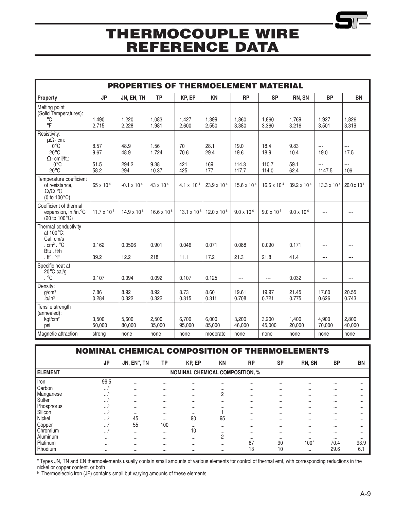| <b>PROPERTIES OF THERMOELEMENT MATERIAL</b>                                                                                            |                              |                              |                                |                          |                             |                                |                                |                              |                                                    |                                                 |
|----------------------------------------------------------------------------------------------------------------------------------------|------------------------------|------------------------------|--------------------------------|--------------------------|-----------------------------|--------------------------------|--------------------------------|------------------------------|----------------------------------------------------|-------------------------------------------------|
| Property                                                                                                                               | <b>JP</b>                    | JN, EN, TN                   | <b>TP</b>                      | KP, EP                   | <b>KN</b>                   | <b>RP</b>                      | <b>SP</b>                      | RN, SN                       | <b>BP</b>                                          | <b>BN</b>                                       |
| Melting point<br>(Solid Temperatures):<br>°C<br>$\circ$ F                                                                              | 1,490<br>2,715               | 1.220<br>2,228               | 1.083<br>1,981                 | 1.427<br>2,600           | 1.399<br>2,550              | 1.860<br>3,380                 | 1.860<br>3,360                 | 1.769<br>3,216               | 1.927<br>3,501                                     | 1.826<br>3,319                                  |
| Resistivity:<br>$\mathsf{U}\Omega$ - cm:<br>$0^{\circ}$ C<br>$20^{\circ}$ C<br>$\Omega$ - cmil/ft.:<br>$0^{\circ}$ C<br>$20^{\circ}$ C | 8.57<br>9.67<br>51.5<br>58.2 | 48.9<br>48.9<br>294.2<br>294 | 1.56<br>1.724<br>9.38<br>10.37 | 70<br>70.6<br>421<br>425 | 28.1<br>29.4<br>169<br>177  | 19.0<br>19.6<br>114.3<br>117.7 | 18.4<br>18.9<br>110.7<br>114.0 | 9.83<br>10.4<br>59.1<br>62.4 | $\overline{a}$<br>19.0<br>$\overline{a}$<br>1147.5 | $\overline{a}$<br>17.5<br>$\overline{a}$<br>106 |
| Temperature coefficient<br>of resistance,<br>$\Omega/\Omega$ °C<br>(0 to $100^{\circ}$ C)                                              | 65 x 10-4                    | $-0.1 \times 10^{-4}$        | 43 x 10 <sup>-4</sup>          | 4.1 x $10^{-4}$          | 23.9 x 10-4                 | $15.6 \times 10^{-4}$          | $16.6 \times 10^{-4}$          | 39.2 x 10 <sup>-4</sup>      | 13.3 x $10^{-4}$                                   | $20.0 \times 10^{-4}$                           |
| Coefficient of thermal<br>expansion, in./in. <sup>o</sup> C<br>$(20 \text{ to } 100^{\circ}\text{C})$                                  | 11.7 x 10 $-6$               | 14.9 x 10-6                  | 16.6 x 10 $-6$                 | 13.1 $\times$ 10 $^{-6}$ | 12.0 x 10 $-6$              | $9.0 \times 10^{-6}$           | $9.0 \times 10^{-6}$           | $9.0 \times 10^{-6}$         | $\overline{a}$                                     | ---                                             |
| Thermal conductivity<br>at 100°C:<br>Cal. cm/s<br>. $cm2$ . $°C$<br>Btu.ft/h<br>. $ft^2$ . $\circ$ F                                   | 0.162<br>39.2                | 0.0506<br>12.2               | 0.901<br>218                   | 0.046<br>11.1            | 0.071<br>17.2               | 0.088<br>21.3                  | 0.090<br>21.8                  | 0.171<br>41.4                | $\overline{a}$<br>$\overline{a}$                   | ---<br>$\overline{a}$                           |
| Specific heat at<br>$20^{\circ}$ C cal/g<br>. $^{\circ}C$                                                                              | 0.107                        | 0.094                        | 0.092                          | 0.107                    | 0.125                       | $---$                          | $---$                          | 0.032                        | $\overline{a}$                                     | ---                                             |
| Density:<br>g/cm <sup>3</sup><br>$\mathrm{b}/\mathrm{in}^3$                                                                            | 7.86<br>0.284                | 8.92<br>0.322                | 8.92<br>0.322                  | 8.73<br>0.315            | 8.60<br>0.311               | 19.61<br>0.708                 | 19.97<br>0.721                 | 21.45<br>0.775               | 17.60<br>0.626                                     | 20.55<br>0.743                                  |
| Tensile strength<br>(annealed):<br>kgf/cm <sup>2</sup><br>psi<br>Magnetic attraction                                                   | 3,500<br>50,000<br>strong    | 5,600<br>80,000<br>none      | 2,500<br>35,000<br>none        | 6,700<br>95,000<br>none  | 6,000<br>85,000<br>moderate | 3,200<br>46,000<br>none        | 3,200<br>45.000<br>none        | 1,400<br>20,000<br>none      | 4,900<br>70,000<br>none                            | 2,800<br>40,000<br>none                         |
|                                                                                                                                        |                              |                              |                                |                          |                             |                                |                                |                              |                                                    |                                                 |

### NOMINAL CHEMICAL COMPOSITION OF THERMOELEMENTS

|                | JP                                     | JN, EN", TN | <b>TP</b> | KP, EP   | <b>KN</b> | <b>RP</b> | <b>SP</b> | RN, SN   | <b>BP</b> | <b>BN</b> |
|----------------|----------------------------------------|-------------|-----------|----------|-----------|-----------|-----------|----------|-----------|-----------|
| <b>ELEMENT</b> | <b>NOMINAL CHEMICAL COMPOSITION, %</b> |             |           |          |           |           |           |          |           |           |
| Iron           | 99.5                                   | $\cdots$    | $\cdots$  | $\cdots$ | $\cdots$  | $\cdots$  | $\cdots$  | $\cdots$ | $\cdots$  |           |
| Carbon         | $\cdots$                               | $\cdots$    |           | $\cdots$ |           | $\cdots$  |           | $\cdots$ |           |           |
| Manganese      | b<br>$\cdots$                          | $\cdots$    | $\cdots$  | $\cdots$ | 2         | $\cdots$  | $\cdots$  | $\cdots$ | $\cdots$  |           |
| Sulfer         | $\cdots$                               | $\cdots$    | $\cdots$  | $\cdots$ | $\cdots$  | $\cdots$  | $\cdots$  | $\cdots$ | $\cdots$  |           |
| Phosphorus     | $\cdots$                               | $\cdots$    | $\cdots$  | $\cdots$ | $\cdots$  | $\cdots$  | $\cdots$  | $\cdots$ | $\cdots$  |           |
| Slilcon        | b<br>$\cdots$                          | $\cdots$    | $\cdots$  | $\cdots$ |           | $\cdots$  | $\cdots$  | $\cdots$ | $\cdots$  |           |
| Nickel         |                                        | 45          | $\cdots$  | 90       | 95        | $\cdots$  |           | $\cdots$ | $\cdots$  |           |
| Copper         | b<br>$\cdots$                          | 55          | 100       | $\cdots$ | $\cdots$  | $\cdots$  | $\cdots$  | $\cdots$ | $\cdots$  |           |
| Chromium       | $\cdots$                               | $\cdots$    | $\cdots$  | 10       |           | $\cdots$  |           | $\cdots$ |           |           |
| Aluminum       | $\cdots$                               | $\cdots$    | $\cdots$  | $\cdots$ | 2         | $\cdots$  | $\cdots$  | $\cdots$ | $\cdots$  | $\cdots$  |
| Platinum       | $\cdots$                               | $\cdots$    | $\cdots$  | $\cdots$ | $\cdots$  | 87        | 90        | 100*     | 70.4      | 93.9      |
| Rhodium        |                                        | $\cdots$    |           | $\cdots$ | $\cdots$  | 13        | 10        | $\cdots$ | 29.6      | 6.1       |

" Types JN, TN and EN thermoelements usually contain small amounts of various elements for control of thermal emf, with corresponding reductions in the

nickel or copper content, or both b Thermoelectric iron (JP) contains small but varying amounts of these elements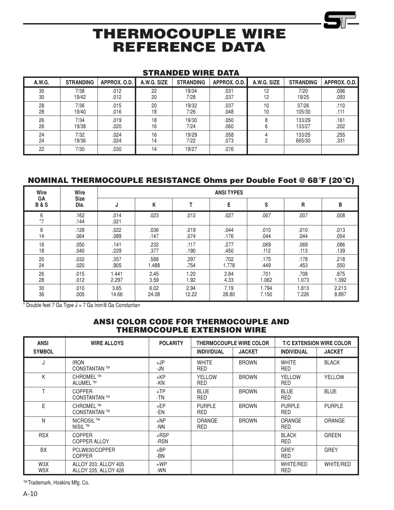### STRANDED WIRE DATA

| A.W.G. | <b>STRANDING</b> | APPROX, O.D. | A.W.G. SIZE | <b>STRANDING</b> | APPROX. O.D. | A.W.G. SIZE | <b>STRANDING</b> | APPROX. O.D. |
|--------|------------------|--------------|-------------|------------------|--------------|-------------|------------------|--------------|
| 30     | 7/38             | .012         | 22          | 19/34            | .031         | 12          | 7/20             | .096         |
| 30     | 19/42            | .012         | 20          | 7/28             | .037         | 12          | 19/25            | .093         |
| 28     | 7/36             | .015         | 20          | 19/32            | .037         | 10          | 37/26            | .110         |
| 28     | 19/40            | .016         | 18          | 7/26             | .048         | 10          | 105/30           | .111         |
| 26     | 7/34             | .019         | 18          | 19/30            | .050         |             | 133/29           | .161         |
| 26     | 19/38            | .020         | 16          | 7/24             | .060         |             | 133/27           | .202         |
| 24     | 7/32             | .024         | 16          | 19/29            | .058         | ∩           | 133/25           | .255         |
| 24     | 19/36            | .024         | 14          | 7/22             | .073         |             | 665/30           | .331         |
| 22     | 7/30             | .030         | 14          | 19/27            | .076         |             |                  |              |

### NOMINAL THERMOCOUPLE RESISTANCE Ohms per Double Foot @ 68°F (20°C)

| Wire                 | Wire                | <b>ANSI TYPES</b> |       |       |       |       |       |       |  |  |
|----------------------|---------------------|-------------------|-------|-------|-------|-------|-------|-------|--|--|
| GA<br><b>B&amp;S</b> | <b>Size</b><br>Dia. | J                 | K     |       | E     | S     | R     | В     |  |  |
| 6<br>$*7$            | .162<br>.144        | .014<br>.021      | .023  | .012  | .027  | .007  | .007  | .008  |  |  |
| 8                    | .128                | .022              | .036  | .019  | .044  | .010  | .010  | .013  |  |  |
| 14                   | .064                | .089              | .147  | .074  | .176  | .044  | .044  | .054  |  |  |
| 16                   | .050                | .141              | .232  | .117  | .277  | .069  | .069  | .086  |  |  |
| 18                   | .040                | .229              | .377  | .190  | .450  | .112  | .113  | .139  |  |  |
| 20                   | .032                | .357              | .588  | .297  | .702  | .175  | .178  | .218  |  |  |
| 24                   | .020                | .905              | 1.488 | .754  | 1.778 | .449  | .453  | .550  |  |  |
| 26                   | .015                | 1.441             | 2.45  | 1.20  | 2.84  | .701  | .708  | .875  |  |  |
| 28                   | .012                | 2.297             | 3.59  | 1.92  | 4.33  | 1.062 | 1.073 | 1.392 |  |  |
| 30                   | .010                | 3.65              | 6.02  | 2.94  | 7.19  | 1.794 | 1.813 | 2.213 |  |  |
| 36                   | .005                | 14.66             | 24.08 | 12.22 | 28.80 | 7.150 | 7.226 | 8.897 |  |  |

\* Double feet 7 Ga Type J = 7 Ga Iron/8 Ga Constantan

### ANSI COLOR CODE FOR THERMOCOUPLE AND THERMOCOUPLE EXTENSION WIRE

| <b>ANSI</b>             | <b>WIRE ALLOYS</b>                           | <b>POLARITY</b> |                             | <b>THERMOCOUPLE WIRE COLOR</b> |                             | <b>T/C EXTENSION WIRE COLOR</b> |
|-------------------------|----------------------------------------------|-----------------|-----------------------------|--------------------------------|-----------------------------|---------------------------------|
| <b>SYMBOL</b>           |                                              |                 | <b>INDIVIDUAL</b>           | <b>JACKET</b>                  | <b>INDIVIDUAL</b>           | <b>JACKET</b>                   |
| J                       | <b>IRON</b><br>CONSTANTAN ™                  | $+JP$<br>-JN    | <b>WHITE</b><br>RED         | <b>BROWN</b>                   | <b>WHITE</b><br>RED         | <b>BLACK</b>                    |
| K                       | CHROMEL <sup>™</sup><br>ALUMEL <sup>™</sup>  | $+KP$<br>-KN    | <b>YELLOW</b><br><b>RED</b> | <b>BROWN</b>                   | YELLOW<br><b>RED</b>        | <b>YELLOW</b>                   |
| Т                       | <b>COPPER</b><br><b>CONSTANTAN™</b>          | $+TP$<br>-TN    | <b>BLUE</b><br><b>RED</b>   | <b>BROWN</b>                   | <b>BLUE</b><br><b>RED</b>   | <b>BLUE</b>                     |
| E                       | CHROMEL <sup>™</sup><br><b>CONSTANTAN™</b>   | $+EP$<br>-EN    | <b>PURPLE</b><br>RED        | <b>BROWN</b>                   | <b>PURPLE</b><br><b>RED</b> | <b>PURPLE</b>                   |
| N                       | NICROSIL ™<br>NISIL <sup>™</sup>             | $+NP$<br>-NN    | <b>ORANGE</b><br>RED        | <b>BROWN</b>                   | <b>ORANGE</b><br>RED        | <b>ORANGE</b>                   |
| <b>RSX</b>              | <b>COPPER</b><br><b>COPPER ALLOY</b>         | $+RSP$<br>-RSN  |                             |                                | <b>BLACK</b><br><b>RED</b>  | <b>GREEN</b>                    |
| <b>BX</b>               | PCLW630/COPPER<br><b>COPPER</b>              | $+BP$<br>-BN    |                             |                                | <b>GREY</b><br>RED          | <b>GREY</b>                     |
| W3X<br>W <sub>5</sub> X | ALLOY 203; ALLOY 405<br>ALLOY 225: ALLOY 426 | $+WP$<br>-WN    |                             |                                | WHITE/RED<br>RED            | <b>WHITE/RED</b>                |

TM Trademark, Hoskins Mfg. Co.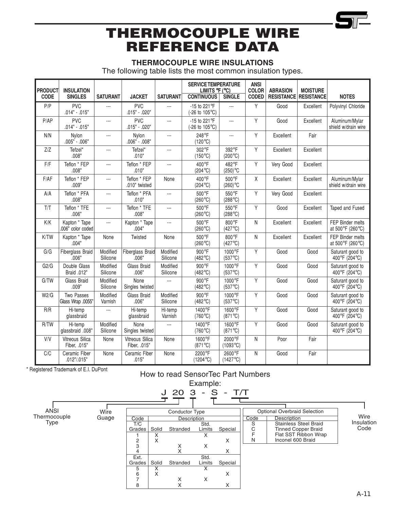## THERMOCOUPLE WIRE INSULATIONS

The following table lists the most common insulation types.

| <b>PRODUCT</b> | <b>INSULATION</b>                  |                          |                                 |                          | <b>SERVICE TEMPERATURE</b><br>LIMITS °F (°C) |                                  | <b>ANSI</b><br><b>COLOR</b> | <b>ABRASION</b>              | <b>MOISTURE</b> |                                             |
|----------------|------------------------------------|--------------------------|---------------------------------|--------------------------|----------------------------------------------|----------------------------------|-----------------------------|------------------------------|-----------------|---------------------------------------------|
| <b>CODE</b>    | <b>SINGLES</b>                     | <b>SATURANT</b>          | <b>JACKET</b>                   | <b>SATURANT</b>          | <b>CONTINUOUS</b>                            | SINGLE                           | <b>CODED</b>                | <b>RESISTANCE RESISTANCE</b> |                 | <b>NOTES</b>                                |
| P/P            | <b>PVC</b><br>$.014" - .015"$      | $\overline{a}$           | <b>PVC</b><br>.015" - .020"     | $---$                    | -15 to 221°F<br>(-26 to 105°C)               | $\overline{a}$                   | Υ                           | Good                         | Excellent       | Polyvinyl Chloride                          |
| P/AP           | <b>PVC</b><br>$.014" - .015"$      | $\overline{a}$           | <b>PVC</b><br>.015" - .020"     | $\overline{a}$           | -15 to 221°F<br>(-26 to 105°C)               | $\overline{a}$                   | Y                           | Good                         | Excellent       | Aluminum/Mylar<br>shield w/drain wire       |
| N/N            | Nylon<br>$.005" - .006"$           | $\overline{a}$           | Nylon<br>$.006" - .008"$        | $\overline{a}$           | 248°F<br>$(120^{\circ}C)$                    | $\overline{a}$                   | Y                           | Excellent                    | Fair            |                                             |
| Z/Z            | Tefzel*<br>.008"                   | $\overline{a}$           | Tefzel*<br>.010"                | ---                      | 302°F<br>$(150^{\circ}C)$                    | 392°F<br>$(200^{\circ}C)$        | Y                           | Excellent                    | Excellent       |                                             |
| F/F            | Teflon * FEP<br>.008"              | $\overline{a}$           | Teflon * FEP<br>.010"           | $\overline{a}$           | 400°F<br>$(204^{\circ}C)$                    | 482°F<br>$(250)$ °C              | Y                           | Very Good                    | Excellent       |                                             |
| F/AF           | Teflon * FEP<br>.009"              | $\overline{a}$           | Teflon * FEP<br>.010" twisted   | None                     | 400°F<br>$(204^{\circ}C)$                    | 500°F<br>$(260)$ °C              | χ                           | Excellent                    | Excellent       | Aluminum/Mylar<br>shield w/drain wire       |
| A/A            | Teflon * PFA<br>.008"              | $\overline{a}$           | Teflon * PFA<br>.010"           | $\overline{a}$           | $500^{\circ}$ F<br>$(260^{\circ}C)$          | 550°F<br>$(288^{\circ}C)$        | Y                           | Very Good                    | Excellent       |                                             |
| T/T            | Teflon * TFE<br>.006"              | $\overline{\phantom{a}}$ | Teflon * TFE<br>.008"           | $\overline{\phantom{a}}$ | 500°F<br>$(260^{\circ}C)$                    | 550°F<br>$(288^{\circ}\text{C})$ | Y                           | Good                         | Excellent       | Taped and Fused                             |
| K/K            | Kapton * Tape<br>.006" color coded | $\overline{a}$           | Kapton * Tape<br>.004"          | $\overline{a}$           | $500^{\circ}$ F<br>$(260^{\circ}C)$          | 800°F<br>$(427^{\circ}C)$        | N                           | Excellent                    | Excellent       | <b>FEP Binder melts</b><br>at 500°F (260°C) |
| K/TW           | Kapton * Tape<br>.004"             | None                     | Twisted                         | None                     | 500°F<br>$(260^{\circ}C)$                    | 800°F<br>$(427^{\circ}C)$        | N                           | Excellent                    | Excellent       | FEP Binder melts<br>at 500°F (260°C)        |
| G/G            | Fiberglass Braid<br>.006"          | Modified<br>Silicone     | Fiberglass Braid<br>006"        | Modified<br>Silicone     | 900°F<br>$(482^{\circ}C)$                    | 1000°F<br>$(537^{\circ}C)$       | Y                           | Good                         | Good            | Saturant good to<br>400°F (204°C)           |
| G2/G           | Double Glass<br>Braid .012"        | Modified<br>Silicone     | Glass Braid<br>.006"            | Modified<br>Silicone     | 900°F<br>$(482^{\circ}C)$                    | 1000°F<br>$(537^{\circ}C)$       | Y                           | Good                         | Good            | Saturant good to<br>400°F (204°C)           |
| G/TW           | Glass Braid<br>.009"               | Modified<br>Silicone     | None<br>Singles twisted         | $\overline{a}$           | 900°F<br>$(482^{\circ}C)$                    | 1000°F<br>$(537^{\circ}C)$       | Y                           | Good                         | Good            | Saturant good to<br>400°F (204°C)           |
| W2/G           | Two Passes<br>Glass Wrap .0055"    | Modified<br>Varnish      | Glass Braid<br>.006"            | Modified<br>Silicone     | 900°F<br>$(482^{\circ}C)$                    | 1000°F<br>$(537^{\circ}C)$       | Y                           | Good                         | Good            | Saturant good to<br>400°F (204°C)           |
| R/R            | Hi-temp<br>glassbraid              | $\overline{a}$           | Hi-temp<br>glassbraid           | Hi-temp<br>Varnish       | 1400°F<br>$(760^{\circ}C)$                   | 1600°F<br>$(871^{\circ}C)$       | Y                           | Good                         | Good            | Saturant good to<br>400°F (204°C)           |
| R/TW           | Hi-temp<br>glassbraid .008"        | Modified<br>Silicone     | None<br>Singles twisted         | $\overline{\phantom{a}}$ | 1400°F<br>$(760^{\circ}C)$                   | 1600°F<br>$(871^{\circ}C)$       | Y                           | Good                         | Good            | Saturant good to<br>400°F (204°C)           |
| V/V            | Vitreous Silica<br>Fiber, .015"    | None                     | Vitreous Silica<br>Fiber, .015" | None                     | 1600°F<br>$(871^{\circ}C)$                   | 2000°F<br>$(1093^{\circ}C)$      | N                           | Poor                         | Fair            |                                             |
| C/C            | Ceramic Fiber<br>.012"/.015"       | None                     | Ceramic Fiber<br>.015"          | None                     | 2200°F<br>$(1204^{\circ}C)$                  | 2600°F<br>$(1427^{\circ}C)$      | Ν                           | Good                         | Fair            |                                             |

## \* Registered Trademark of E.I. DuPont How to read SensorTec Part Numbers Example:

|                                     |               |                                                                                         |                                                         | 20 3                                                                                               | - S                                                  | - $T/T$                                |                          |                                                                                                                                                               |                            |
|-------------------------------------|---------------|-----------------------------------------------------------------------------------------|---------------------------------------------------------|----------------------------------------------------------------------------------------------------|------------------------------------------------------|----------------------------------------|--------------------------|---------------------------------------------------------------------------------------------------------------------------------------------------------------|----------------------------|
| ANSI<br>Thermocouple<br><b>Type</b> | Wire<br>Guage | Code<br>T/C<br>Grades<br>2<br>3<br>4<br>Ext.<br>Grades<br>5<br>6<br>$\overline{ }$<br>8 | Solid<br>$\checkmark$<br>∧<br>X<br>Solid<br>v<br>⋏<br>X | <b>Conductor Type</b><br><b>Description</b><br>Stranded<br>X<br>$\checkmark$<br>Stranded<br>X<br>X | Std.<br>Limits<br>X<br>X<br>Std.<br>Limits<br>X<br>X | Special<br>X<br>X<br>Special<br>X<br>X | Code<br>S<br>С<br>F<br>N | <b>Optional Overbraid Selection</b><br>Description<br><b>Stainless Steel Braid</b><br><b>Tinned Copper Braid</b><br>Flat SST Ribbon Wrap<br>Inconel 600 Braid | Wire<br>Insulation<br>Code |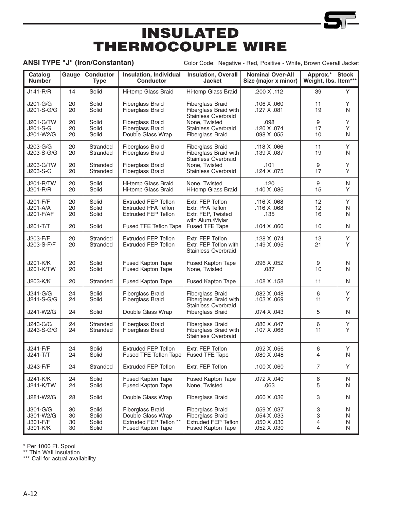# INSULATED THERMOCOUPLE WIRE

ANSI TYPE "J" (Iron/Constantan) Color Code: Negative - Red, Positive - White, Brown Overall Jacket

| Catalog<br><b>Number</b>                      | Gauge                | <b>Conductor</b><br><b>Type</b>  | Insulation, Individual<br><b>Conductor</b>                                                  | <b>Insulation, Overall</b><br><b>Jacket</b>                                                           | <b>Nominal Over-All</b><br>Size (major x minor)          | Approx.*<br>Weight, Ibs. Item*** | <b>Stock</b>     |
|-----------------------------------------------|----------------------|----------------------------------|---------------------------------------------------------------------------------------------|-------------------------------------------------------------------------------------------------------|----------------------------------------------------------|----------------------------------|------------------|
| J141-R/R                                      | 14                   | Solid                            | Hi-temp Glass Braid                                                                         | Hi-temp Glass Braid                                                                                   | .200 X .112                                              | 39                               | Y                |
| J201-G/G<br>J201-S-G/G                        | 20<br>20             | Solid<br>Solid                   | <b>Fiberglass Braid</b><br><b>Fiberglass Braid</b>                                          | <b>Fiberglass Braid</b><br>Fiberglass Braid with<br><b>Stainless Overbraid</b>                        | .106 X .060<br>.127 X .081                               | 11<br>19                         | Υ<br>N           |
| J201-G/TW<br>J201-S-G<br>J201-W2/G            | 20<br>20<br>20       | Solid<br>Solid<br>Solid          | <b>Fiberglass Braid</b><br><b>Fiberglass Braid</b><br>Double Glass Wrap                     | None, Twisted<br><b>Stainless Overbraid</b><br><b>Fiberglass Braid</b>                                | .098<br>.120 X .074<br>.098 X .055                       | 9<br>17<br>10                    | Y<br>Υ<br>N      |
| J203-G/G<br>J203-S-G/G                        | 20<br>20             | Stranded<br>Stranded             | <b>Fiberglass Braid</b><br><b>Fiberglass Braid</b>                                          | <b>Fiberglass Braid</b><br>Fiberglass Braid with<br><b>Stainless Overbraid</b>                        | .118 X .066<br>.139 X .087                               | 11<br>19                         | Υ<br>N           |
| J203-G/TW<br>J203-S-G                         | 20<br>20             | Stranded<br>Stranded             | <b>Fiberglass Braid</b><br><b>Fiberglass Braid</b>                                          | None, Twisted<br><b>Stainless Overbraid</b>                                                           | .101<br>.124 X .075                                      | 9<br>17                          | Υ<br>Υ           |
| J201-R/TW<br>J201-R/R                         | 20<br>20             | Solid<br>Solid                   | Hi-temp Glass Braid<br>Hi-temp Glass Braid                                                  | None, Twisted<br>Hi-temp Glass Braid                                                                  | .120<br>.140 X .085                                      | 9<br>15                          | N<br>Y           |
| J201-F/F<br>J201-A/A<br>J201-F/AF             | 20<br>20<br>20       | Solid<br>Solid<br>Solid          | <b>Extruded FEP Teflon</b><br><b>Extruded PFA Teflon</b><br><b>Extruded FEP Teflon</b>      | Extr. FEP Teflon<br>Extr. PFA Teflon<br>Extr. FEP, Twisted<br>with Alum./Mylar                        | .116 X .068<br>.116 X .068<br>.135                       | 12<br>12<br>16                   | Y<br>N<br>N      |
| J201-T/T                                      | 20                   | Solid                            | Fused TFE Teflon Tape                                                                       | Fused TFE Tape                                                                                        | .104 X .060                                              | 10                               | N                |
| J203-F/F<br>J203-S-F/F                        | 20<br>20             | Stranded<br>Stranded             | <b>Extruded FEP Teflon</b><br><b>Extruded FEP Teflon</b>                                    | Extr. FEP Teflon<br>Extr. FEP Teflon with<br><b>Stainless Overbraid</b>                               | .128 X .074<br>.149 X .095                               | 13<br>21                         | Υ<br>Y           |
| J201-K/K<br>J201-K/TW                         | 20<br>20             | Solid<br>Solid                   | <b>Fused Kapton Tape</b><br>Fused Kapton Tape                                               | <b>Fused Kapton Tape</b><br>None, Twisted                                                             | .096 X .052<br>.087                                      | 9<br>10                          | N<br>N           |
| J203-K/K                                      | 20                   | Stranded                         | Fused Kapton Tape                                                                           | Fused Kapton Tape                                                                                     | .108 X .158                                              | 11                               | N                |
| J241-G/G<br>J241-S-G/G                        | 24<br>24             | Solid<br>Solid                   | <b>Fiberglass Braid</b><br><b>Fiberglass Braid</b>                                          | <b>Fiberglass Braid</b><br>Fiberglass Braid with<br><b>Stainless Overbraid</b>                        | .082 X .048<br>.103 X .069                               | 6<br>11                          | Υ<br>Y           |
| J241-W2/G                                     | 24                   | Solid                            | Double Glass Wrap                                                                           | Fiberglass Braid                                                                                      | .074 X .043                                              | 5                                | N                |
| J243-G/G<br>J243-S-G/G                        | 24<br>24             | Stranded<br>Stranded             | Fiberglass Braid<br><b>Fiberglass Braid</b>                                                 | <b>Fiberglass Braid</b><br>Fiberglass Braid with<br><b>Stainless Overbraid</b>                        | .086 X .047<br>.107 X .068                               | 6<br>11                          | Υ<br>Y           |
| J241-F/F<br>$J241-T/T$                        | 24<br>24             | Solid<br>Solid                   | <b>Extruded FEP Teflon</b><br>Fused TFE Teflon Tape                                         | Extr. FEP Teflon<br><b>Fused TFE Tape</b>                                                             | .092 X .056<br>.080 X .048                               | 6<br>4                           | Υ<br>N           |
| J243-F/F                                      | 24                   | Stranded                         | <b>Extruded FEP Teflon</b>                                                                  | Extr. FEP Teflon                                                                                      | .100 X .060                                              | $\overline{7}$                   | Y                |
| J241-K/K<br>J241-K/TW                         | 24<br>24             | Solid<br>Solid                   | Fused Kapton Tape<br><b>Fused Kapton Tape</b>                                               | Fused Kapton Tape<br>None, Twisted                                                                    | .072 X .040<br>.063                                      | 6<br>5                           | N<br>N           |
| J281-W2/G                                     | 28                   | Solid                            | Double Glass Wrap                                                                           | Fiberglass Braid                                                                                      | .060 X .036                                              | 3                                | N                |
| J301-G/G<br>J301-W2/G<br>J301-F/F<br>J301-K/K | 30<br>30<br>30<br>30 | Solid<br>Solid<br>Solid<br>Solid | <b>Fiberglass Braid</b><br>Double Glass Wrap<br>Extruded FEP Teflon **<br>Fused Kapton Tape | <b>Fiberglass Braid</b><br><b>Fiberglass Braid</b><br><b>Extruded FEP Teflon</b><br>Fused Kapton Tape | .059 X .037<br>.054 X .033<br>.050 X .030<br>.052 X .030 | 3<br>3<br>4<br>4                 | N<br>N<br>N<br>N |

\* Per 1000 Ft. Spool

\*\* Thin Wall Insulation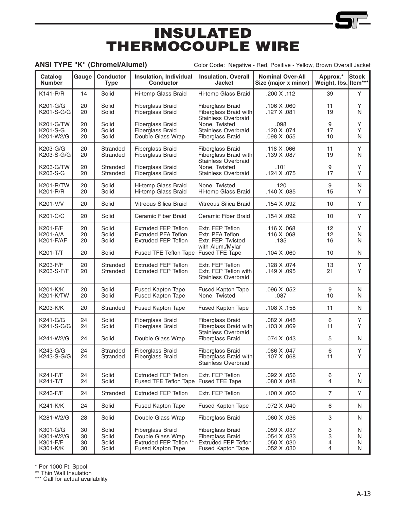# INSULATED THERMOCOUPLE WIRE

ANSI TYPE "K" (Chromel/Alumel) Color Code: Negative - Red, Positive - Yellow, Brown Overall Jacket

| Catalog<br><b>Number</b>                      | Gauge                | <b>Conductor</b><br><b>Type</b>  | <b>Insulation, Individual</b><br><b>Conductor</b>                                                  | <b>Insulation, Overall</b><br><b>Jacket</b>                                                                  | <b>Nominal Over-All</b><br>Size (major x minor)          | Approx.*<br>Weight, Ibs. Item*** | <b>Stock</b>     |
|-----------------------------------------------|----------------------|----------------------------------|----------------------------------------------------------------------------------------------------|--------------------------------------------------------------------------------------------------------------|----------------------------------------------------------|----------------------------------|------------------|
| $K141 - R/R$                                  | 14                   | Solid                            | Hi-temp Glass Braid                                                                                | Hi-temp Glass Braid                                                                                          | .200 X .112                                              | 39                               | Y                |
| K201-G/G<br>K201-S-G/G                        | 20<br>20             | Solid<br>Solid                   | <b>Fiberglass Braid</b><br><b>Fiberglass Braid</b>                                                 | <b>Fiberglass Braid</b><br>Fiberglass Braid with<br><b>Stainless Overbraid</b>                               | .106 X .060<br>.127 X .081                               | 11<br>19                         | Y<br>N           |
| K201-G/TW<br>K201-S-G<br>K201-W2/G            | 20<br>20<br>20       | Solid<br>Solid<br>Solid          | <b>Fiberglass Braid</b><br><b>Fiberglass Braid</b><br>Double Glass Wrap                            | None, Twisted<br><b>Stainless Overbraid</b><br><b>Fiberglass Braid</b>                                       | .098<br>.120 X .074<br>.098 X .055                       | 9<br>17<br>10                    | Υ<br>Y<br>N      |
| K203-G/G<br>K203-S-G/G                        | 20<br>20             | Stranded<br>Stranded             | <b>Fiberglass Braid</b><br><b>Fiberglass Braid</b>                                                 | <b>Fiberglass Braid</b><br>Fiberglass Braid with<br><b>Stainless Overbraid</b>                               | .118 X .066<br>.139 X .087                               | 11<br>19                         | Υ<br>N           |
| K203-G/TW<br>K203-S-G                         | 20<br>20             | Stranded<br>Stranded             | <b>Fiberglass Braid</b><br><b>Fiberglass Braid</b>                                                 | None, Twisted<br><b>Stainless Overbraid</b>                                                                  | .101<br>.124 X .075                                      | 9<br>17                          | Υ<br>Y           |
| <b>K201-R/TW</b><br>K201-R/R                  | 20<br>20             | Solid<br>Solid                   | Hi-temp Glass Braid<br>Hi-temp Glass Braid                                                         | None, Twisted<br>Hi-temp Glass Braid                                                                         | .120<br>.140 X .085                                      | 9<br>15                          | N<br>Y           |
| K201-V/V                                      | 20                   | Solid                            | Vitreous Silica Braid                                                                              | Vitreous Silica Braid                                                                                        | .154 X .092                                              | 10                               | Y                |
| K201-C/C                                      | 20                   | Solid                            | Ceramic Fiber Braid                                                                                | Ceramic Fiber Braid                                                                                          | .154 X .092                                              | 10                               | Υ                |
| K201-F/F<br>K201-A/A<br>K201-F/AF             | 20<br>20<br>20       | Solid<br>Solid<br>Solid          | <b>Extruded FEP Teflon</b><br><b>Extruded PFA Teflon</b><br><b>Extruded FEP Teflon</b>             | Extr. FEP Teflon<br>Extr. PFA Teflon<br>Extr. FEP, Twisted                                                   | .116 X .068<br>.116 X .068<br>.135                       | 12<br>12<br>16                   | Υ<br>N<br>N      |
| K201-T/T                                      | 20                   | Solid                            | Fused TFE Teflon Tape                                                                              | with Alum./Mylar<br>Fused TFE Tape                                                                           | .104 X .060                                              | 10                               | N                |
| K203-F/F<br>K203-S-F/F                        | 20<br>20             | Stranded<br>Stranded             | <b>Extruded FEP Teflon</b><br><b>Extruded FEP Teflon</b>                                           | Extr. FEP Teflon<br>Extr. FEP Teflon with<br><b>Stainless Overbraid</b>                                      | .128 X .074<br>.149 X .095                               | 13<br>21                         | Υ<br>Y           |
| K201-K/K<br>K201-K/TW                         | 20<br>20             | Solid<br>Solid                   | <b>Fused Kapton Tape</b><br><b>Fused Kapton Tape</b>                                               | <b>Fused Kapton Tape</b><br>None, Twisted                                                                    | .096 X .052<br>.087                                      | $9\,$<br>10                      | N<br>N           |
| K203-K/K                                      | 20                   | Stranded                         | <b>Fused Kapton Tape</b>                                                                           | <b>Fused Kapton Tape</b>                                                                                     | .108 X .158                                              | 11                               | N                |
| K241-G/G<br>K241-S-G/G                        | 24<br>24             | Solid<br>Solid                   | <b>Fiberglass Braid</b><br><b>Fiberglass Braid</b>                                                 | Fiberglass Braid<br>Fiberglass Braid with<br>Stainless Overbraid                                             | .082 X .048<br>.103 X .069                               | 6<br>11                          | Y<br>Υ           |
| K241-W2/G                                     | 24                   | Solid                            | Double Glass Wrap                                                                                  | Fiberglass Braid                                                                                             | .074 X .043                                              | 5                                | N                |
| K243-G/G<br>K243-S-G/G                        | 24<br>24             | Stranded<br>Stranded             | <b>Fiberglass Braid</b><br><b>Fiberglass Braid</b>                                                 | Fiberglass Braid<br>Fiberglass Braid with<br><b>Stainless Overbraid</b>                                      | .086 X .047<br>.107 X .068                               | 6<br>11                          | Υ<br>Y           |
| K241-F/F<br>K241-T/T                          | 24<br>24             | Solid<br>Solid                   | <b>Extruded FEP Teflon</b><br>Fused TFE Teflon Tape                                                | Extr. FEP Teflon<br>Fused TFE Tape                                                                           | .092 X .056<br>.080 X .048                               | 6<br>4                           | Υ<br>N           |
| K243-F/F                                      | 24                   | Stranded                         | <b>Extruded FEP Teflon</b>                                                                         | Extr. FEP Teflon                                                                                             | .100 X .060                                              | $\overline{7}$                   | Y                |
| K241-K/K                                      | 24                   | Solid                            | Fused Kapton Tape                                                                                  | <b>Fused Kapton Tape</b>                                                                                     | .072 X .040                                              | 6                                | N                |
| K281-W2/G                                     | 28                   | Solid                            | Double Glass Wrap                                                                                  | <b>Fiberglass Braid</b>                                                                                      | .060 X .036                                              | 3                                | N                |
| K301-G/G<br>K301-W2/G<br>K301-F/F<br>K301-K/K | 30<br>30<br>30<br>30 | Solid<br>Solid<br>Solid<br>Solid | Fiberglass Braid<br>Double Glass Wrap<br><b>Extruded FEP Teflon **</b><br><b>Fused Kapton Tape</b> | <b>Fiberglass Braid</b><br><b>Fiberglass Braid</b><br><b>Extruded FEP Teflon</b><br><b>Fused Kapton Tape</b> | .059 X .037<br>.054 X .033<br>.050 X .030<br>.052 X .030 | 3<br>3<br>4<br>4                 | N<br>N<br>N<br>N |

\* Per 1000 Ft. Spool

\*\* Thin Wall Insulation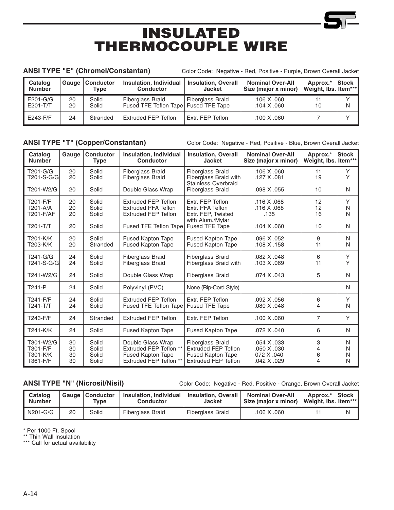# INSULATED THERMOCOUPLE WIRE

ANSI TYPE "E" (Chromel/Constantan) Color Code: Negative - Red, Positive - Purple, Brown Overall Jacket

| Catalog<br><b>Number</b> | Gauge    | <b>Conductor</b><br>Tvpe | <b>Insulation, Individual</b><br><b>Conductor</b>                 | <b>Insulation, Overall</b><br><b>Jacket</b> | <b>Nominal Over-All</b><br>Size (major x minor) | Approx.*<br>Weight, Ibs. Item*** | <b>Stock</b> |
|--------------------------|----------|--------------------------|-------------------------------------------------------------------|---------------------------------------------|-------------------------------------------------|----------------------------------|--------------|
| E201-G/G<br>E201-T/T     | 20<br>20 | Solid<br>Solid           | <b>Fiberglass Braid</b><br>Fused TFE Teflon Tape   Fused TFE Tape | <b>Fiberglass Braid</b>                     | .106 X .060<br>.104 X .060                      | 10                               | N            |
| E243-F/F                 | 24       | Stranded                 | <b>Extruded FEP Teflon</b>                                        | Extr. FEP Teflon                            | .100 X .060                                     |                                  |              |

ANSI TYPE "T" (Copper/Constantan) Color Code: Negative - Red, Positive - Blue, Brown Overall Jacket

| Catalog<br><b>Number</b> | Gauge | <b>Conductor</b><br><b>Type</b> | <b>Insulation, Individual</b><br><b>Conductor</b> | <b>Insulation, Overall</b><br><b>Jacket</b>         | <b>Nominal Over-All</b><br>Size (major x minor) | Approx.*<br>Weight, lbs. Item*** | <b>Stock</b> |
|--------------------------|-------|---------------------------------|---------------------------------------------------|-----------------------------------------------------|-------------------------------------------------|----------------------------------|--------------|
| T201-G/G                 | 20    | Solid                           | <b>Fiberglass Braid</b>                           | <b>Fiberglass Braid</b>                             | .106 X .060                                     | 11                               | Y            |
| T201-S-G/G               | 20    | Solid                           | <b>Fiberglass Braid</b>                           | Fiberglass Braid with<br><b>Stainless Overbraid</b> | .127 X .081                                     | 19                               | Y            |
| T201-W2/G                | 20    | Solid                           | Double Glass Wrap                                 | <b>Fiberglass Braid</b>                             | .098 X .055                                     | 10                               | N            |
| T201-F/F                 | 20    | Solid                           | Extruded FEP Teflon                               | Extr. FEP Teflon                                    | .116 X .068                                     | 12                               | Y            |
| T201-A/A                 | 20    | Solid                           | <b>Extruded PFA Teflon</b>                        | Extr. PFA Teflon                                    | .116 X .068                                     | 12                               | N            |
| T201-F/AF                | 20    | Solid                           | <b>Extruded FEP Teflon</b>                        | Extr. FEP, Twisted<br>with Alum./Mylar              | .135                                            | 16                               | N            |
| $T201-T/T$               | 20    | Solid                           | Fused TFE Teflon Tape                             | Fused TFE Tape                                      | .104 X .060                                     | 10                               | N            |
| T201-K/K                 | 20    | Solid                           | <b>Fused Kapton Tape</b>                          | <b>Fused Kapton Tape</b>                            | .096 X .052                                     | 9                                | N            |
| T203-K/K                 | 20    | Stranded                        | <b>Fused Kapton Tape</b>                          | <b>Fused Kapton Tape</b>                            | .108 X .158                                     | 11                               | N            |
| T241-G/G                 | 24    | Solid                           | <b>Fiberglass Braid</b>                           | <b>Fiberglass Braid</b>                             | .082 X .048                                     | 6                                | Y            |
| T241-S-G/G               | 24    | Solid                           | <b>Fiberglass Braid</b>                           | Fiberglass Braid with                               | .103 X .069                                     | 11                               | Y            |
| T241-W2/G                | 24    | Solid                           | Double Glass Wrap                                 | <b>Fiberglass Braid</b>                             | .074 X .043                                     | 5                                | N            |
| T241-P                   | 24    | Solid                           | Polyvinyl (PVC)                                   | None (Rip-Cord Style)                               |                                                 |                                  | N            |
| T241-F/F                 | 24    | Solid                           | <b>Extruded FEP Teflon</b>                        | Extr. FEP Teflon                                    | .092 X .056                                     | 6                                | Y            |
| $T241-T/T$               | 24    | Solid                           | Fused TFE Teflon Tape                             | <b>Fused TFE Tape</b>                               | .080 X .048                                     | 4                                | N            |
| T243-F/F                 | 24    | Stranded                        | Extruded FEP Teflon                               | Extr. FEP Teflon                                    | .100 X .060                                     | $\overline{7}$                   | Y            |
| T241-K/K                 | 24    | Solid                           | <b>Fused Kapton Tape</b>                          | <b>Fused Kapton Tape</b>                            | .072 X .040                                     | 6                                | N            |
| T301-W2/G                | 30    | Solid                           | Double Glass Wrap                                 | <b>Fiberglass Braid</b>                             | .054 X .033                                     | 3                                | N            |
| T301-F/F                 | 30    | Solid                           | Extruded FEP Teflon **                            | <b>Extruded FEP Teflon</b>                          | .050 X .030                                     | 4                                | N            |
| T301-K/K                 | 30    | Solid                           | <b>Fused Kapton Tape</b>                          | <b>Fused Kapton Tape</b>                            | 072 X .040                                      | 6                                | N            |
| T361-F/F                 | 30    | Solid                           | Extruded FEP Teflon **                            | <b>Extruded FEP Teflon</b>                          | .042 X .029                                     | 4                                | N            |

ANSI TYPE "N" (Nicrosil/Nisil) Color Code: Negative - Red, Positive - Orange, Brown Overall Jacket

| Catalog<br><b>Number</b> | Gauge | <b>Conductor</b><br>Type | <b>Insulation, Individual</b><br><b>Conductor</b> | <b>Insulation, Overall</b><br>Jacket | <b>Nominal Over-All</b><br>Size (maior x minor) | Approx.*<br>Weight, Ibs. Item*** | <b>Stock</b> |
|--------------------------|-------|--------------------------|---------------------------------------------------|--------------------------------------|-------------------------------------------------|----------------------------------|--------------|
| II N201-G/G              | 20    | Solid                    | <b>Fiberglass Braid</b>                           | <b>Fiberglass Braid</b>              | .106 X .060                                     |                                  | N            |

\* Per 1000 Ft. Spool

\*\* Thin Wall Insulation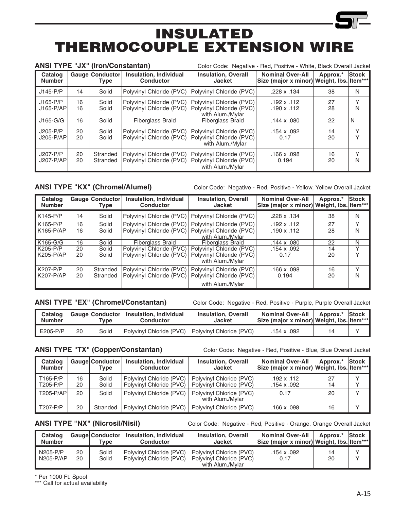# INSULATED THERMOCOUPLE EXTENSION WIRE

| <b>ANSI TYPE "JX" (Iron/Constantan)</b> |                |                         |                                                                                 | Color Code: Negative - Red, Positive - White, Black Overall Jacket                                  |                                                                      |                |              |
|-----------------------------------------|----------------|-------------------------|---------------------------------------------------------------------------------|-----------------------------------------------------------------------------------------------------|----------------------------------------------------------------------|----------------|--------------|
| Catalog<br><b>Number</b>                |                | Gauge Conductor<br>Type | <b>Insulation, Individual</b><br><b>Conductor</b>                               | <b>Insulation, Overall</b><br><b>Jacket</b>                                                         | <b>Nominal Over-All</b><br>Size (major x minor) Weight, lbs. Item*** | Approx.*       | Stock        |
| $J145-P/P$                              | 14             | Solid                   | Polyvinyl Chloride (PVC)                                                        | Polyvinyl Chloride (PVC)                                                                            | .228 x .134                                                          | 38             | N            |
| $J165-P/P$<br>$J165-P/AP$<br>$J165-G/G$ | 16<br>16<br>16 | Solid<br>Solid<br>Solid | Polyvinyl Chloride (PVC)<br>Polyvinyl Chloride (PVC)<br><b>Fiberglass Braid</b> | Polyvinyl Chloride (PVC)<br>Polyvinyl Chloride (PVC)<br>with Alum./Mylar<br><b>Fiberglass Braid</b> | $.192 \times .112$<br>$.190 \times .112$<br>$.144 \times .080$       | 27<br>28<br>22 | N<br>N       |
| $J205-P/P$<br>J205-P/AP                 | 20<br>20       | Solid<br>Solid          | Polyvinyl Chloride (PVC)<br>Polyvinyl Chloride (PVC)                            | Polyvinyl Chloride (PVC)<br>Polyvinyl Chloride (PVC)<br>with Alum./Mylar                            | $.154 \times .092$<br>0.17                                           | 14<br>20       | $\checkmark$ |
| J207-P/P<br>$J207-P/AP$                 | 20<br>20       | Stranded<br>Stranded    | Polyvinyl Chloride (PVC)<br>Polyvinyl Chloride (PVC)                            | Polyvinyl Chloride (PVC)<br>Polyvinyl Chloride (PVC)<br>with Alum./Mylar                            | .166 $\times$ .098<br>0.194                                          | 16<br>20       | v<br>N       |

ANSI TYPE "KX" (Chromel/Alumel) Color Code: Negative - Red, Positive - Yellow, Yellow Overall Jacket

| Catalog<br><b>Number</b> |          | Gauge Conductor<br><b>Type</b> | <b>Insulation, Individual</b><br><b>Conductor</b>    | <b>Insulation, Overall</b><br><b>Jacket</b>                              | <b>Nominal Over-All</b><br>Size (major x minor) | Approx.*<br>Weight, Ibs. | <b>Stock</b><br>ltem***l |
|--------------------------|----------|--------------------------------|------------------------------------------------------|--------------------------------------------------------------------------|-------------------------------------------------|--------------------------|--------------------------|
| $K145-P/P$               | 14       | Solid                          | Polyvinyl Chloride (PVC)                             | Polyvinyl Chloride (PVC)                                                 | .228 x .134                                     | 38                       | N                        |
| $K165-P/P$<br>K165-P/AP  | 16<br>16 | Solid<br>Solid                 | Polyvinyl Chloride (PVC)<br>Polyvinyl Chloride (PVC) | Polyvinyl Chloride (PVC)<br>Polyvinyl Chloride (PVC)<br>with Alum./Mylar | $.192 \times .112$<br>112. x 190.               | 27<br>28                 | $\checkmark$<br>N        |
| K165-G/G                 | 16       | Solid                          | <b>Fiberglass Braid</b>                              | <b>Fiberalass Braid</b>                                                  | $.144 \times .080$                              | 22                       | N                        |
| K205-P/P<br>K205-P/AP    | 20<br>20 | Solid<br>Solid                 | Polyvinyl Chloride (PVC)<br>Polyvinyl Chloride (PVC) | Polyvinyl Chloride (PVC)<br>Polyvinyl Chloride (PVC)<br>with Alum./Mylar | $.154 \times .092$<br>0.17                      | 14<br>20                 | $\checkmark$             |
| K207-P/P<br>K207-P/AP    | 20<br>20 | Stranded<br>Stranded           | Polyvinyl Chloride (PVC)<br>Polyvinyl Chloride (PVC) | Polyvinyl Chloride (PVC)<br>Polyvinyl Chloride (PVC)<br>with Alum./Mylar | $.166 \times .098$<br>0.194                     | 16<br>20                 | $\checkmark$<br>N        |

ANSI TYPE "EX" (Chromel/Constantan) Color Code: Negative - Red, Positive - Purple, Purple Overall Jacket

| Catalog<br><b>Number</b> |    | Type  | Gauge Conductor   Insulation, Individual<br><b>Conductor</b> | <b>Insulation, Overall</b><br>Jacket | <b>Nominal Over-All</b><br>Size (major x minor) Weight, Ibs. Item*** | Approx.* Stock |  |
|--------------------------|----|-------|--------------------------------------------------------------|--------------------------------------|----------------------------------------------------------------------|----------------|--|
| $\mathsf{I}$ E205-P/P    | 20 | Solid | Polyvinyl Chloride (PVC)   Polyvinyl Chloride (PVC)          |                                      | .154 x .092                                                          | 14             |  |

ANSI TYPE "TX" (Copper/Constantan) Color Code: Negative - Red, Positive - Blue, Blue Overall Jacket

| Catalog<br><b>Number</b> |          | Gauge Conductor<br>Tvpe | Insulation, Individual<br><b>Conductor</b>           | <b>Insulation, Overall</b><br><b>Jacket</b>          | <b>Nominal Over-All</b><br>Size (major x minor) Weight, lbs. Item*** | Approx.* | <b>Stock</b> |
|--------------------------|----------|-------------------------|------------------------------------------------------|------------------------------------------------------|----------------------------------------------------------------------|----------|--------------|
| T165-P/P<br>T205-P/P     | 16<br>20 | Solid<br>Solid          | Polyvinyl Chloride (PVC)<br>Polyvinyl Chloride (PVC) | Polyvinyl Chloride (PVC)<br>Polyvinyl Chloride (PVC) | $.192 \times .112$<br>.154 x .092                                    | 27<br>14 |              |
| T205-P/AP                | 20       | Solid                   | Polyvinyl Chloride (PVC)                             | Polyvinyl Chloride (PVC)<br>with Alum./Mylar         | 0.17                                                                 | 20       |              |
| T207-P/P                 | 20       | Stranded                | Polyvinyl Chloride (PVC)                             | Polyvinyl Chloride (PVC)                             | $.166 \times .098$                                                   | 16       |              |

ANSI TYPE "NX" (Nicrosil/Nisil) Color Code: Negative - Red, Positive - Orange, Orange Overall Jacket

| Catalog<br><b>Number</b> |          | Gauge Conductor<br>Type | <b>Insulation, Individual</b><br>Conductor           | <b>Insulation, Overall</b><br>Jacket                                     | <b>Nominal Over-All</b><br>Size (major x minor) Weight, lbs. Item*** | Approx.* | <b>Stock</b> |
|--------------------------|----------|-------------------------|------------------------------------------------------|--------------------------------------------------------------------------|----------------------------------------------------------------------|----------|--------------|
| $N205-P/P$<br>$N205-PAP$ | 20<br>20 | Solid<br>Solid          | Polyvinyl Chloride (PVC)<br>Polyvinyl Chloride (PVC) | Polvvinvl Chloride (PVC)<br>Polyvinyl Chloride (PVC)<br>with Alum./Mylar | .154 x .092<br>0.17                                                  | 14<br>20 |              |

\* Per 1000 Ft. Spool